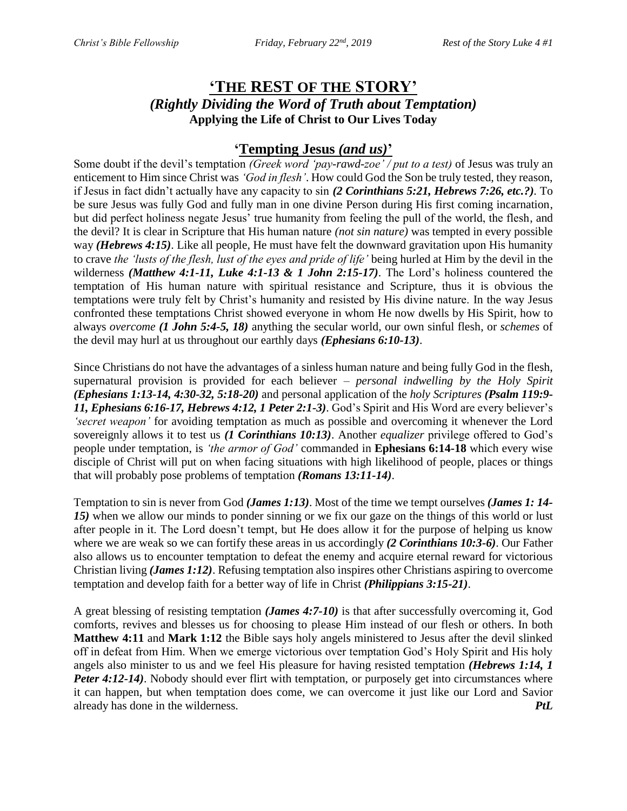# **'THE REST OF THE STORY'** *(Rightly Dividing the Word of Truth about Temptation)* **Applying the Life of Christ to Our Lives Today**

## **'Tempting Jesus** *(and us)***'**

Some doubt if the devil's temptation *(Greek word 'pay-rawd-zoe' / put to a test)* of Jesus was truly an enticement to Him since Christ was *'God in flesh'*. How could God the Son be truly tested, they reason, if Jesus in fact didn't actually have any capacity to sin *(2 Corinthians 5:21, Hebrews 7:26, etc.?).* To be sure Jesus was fully God and fully man in one divine Person during His first coming incarnation, but did perfect holiness negate Jesus' true humanity from feeling the pull of the world, the flesh, and the devil? It is clear in Scripture that His human nature *(not sin nature)* was tempted in every possible way *(Hebrews 4:15)*. Like all people, He must have felt the downward gravitation upon His humanity to crave *the 'lusts of the flesh, lust of the eyes and pride of life'* being hurled at Him by the devil in the wilderness *(Matthew 4:1-11, Luke 4:1-13 & 1 John 2:15-17)*. The Lord's holiness countered the temptation of His human nature with spiritual resistance and Scripture, thus it is obvious the temptations were truly felt by Christ's humanity and resisted by His divine nature. In the way Jesus confronted these temptations Christ showed everyone in whom He now dwells by His Spirit, how to always *overcome (1 John 5:4-5, 18)* anything the secular world, our own sinful flesh, or *schemes* of the devil may hurl at us throughout our earthly days *(Ephesians 6:10-13)*.

Since Christians do not have the advantages of a sinless human nature and being fully God in the flesh, supernatural provision is provided for each believer – *personal indwelling by the Holy Spirit (Ephesians 1:13-14, 4:30-32, 5:18-20)* and personal application of the *holy Scriptures (Psalm 119:9- 11, Ephesians 6:16-17, Hebrews 4:12, 1 Peter 2:1-3)*. God's Spirit and His Word are every believer's *'secret weapon'* for avoiding temptation as much as possible and overcoming it whenever the Lord sovereignly allows it to test us *(1 Corinthians 10:13)*. Another *equalizer* privilege offered to God's people under temptation, is *'the armor of God'* commanded in **Ephesians 6:14-18** which every wise disciple of Christ will put on when facing situations with high likelihood of people, places or things that will probably pose problems of temptation *(Romans 13:11-14)*.

Temptation to sin is never from God *(James 1:13)*. Most of the time we tempt ourselves *(James 1: 14- 15)* when we allow our minds to ponder sinning or we fix our gaze on the things of this world or lust after people in it. The Lord doesn't tempt, but He does allow it for the purpose of helping us know where we are weak so we can fortify these areas in us accordingly *(2 Corinthians 10:3-6)*. Our Father also allows us to encounter temptation to defeat the enemy and acquire eternal reward for victorious Christian living *(James 1:12)*. Refusing temptation also inspires other Christians aspiring to overcome temptation and develop faith for a better way of life in Christ *(Philippians 3:15-21)*.

A great blessing of resisting temptation *(James 4:7-10)* is that after successfully overcoming it, God comforts, revives and blesses us for choosing to please Him instead of our flesh or others. In both **Matthew 4:11** and **Mark 1:12** the Bible says holy angels ministered to Jesus after the devil slinked off in defeat from Him. When we emerge victorious over temptation God's Holy Spirit and His holy angels also minister to us and we feel His pleasure for having resisted temptation *(Hebrews 1:14, 1 Peter 4:12-14*). Nobody should ever flirt with temptation, or purposely get into circumstances where it can happen, but when temptation does come, we can overcome it just like our Lord and Savior already has done in the wilderness. *PtL*